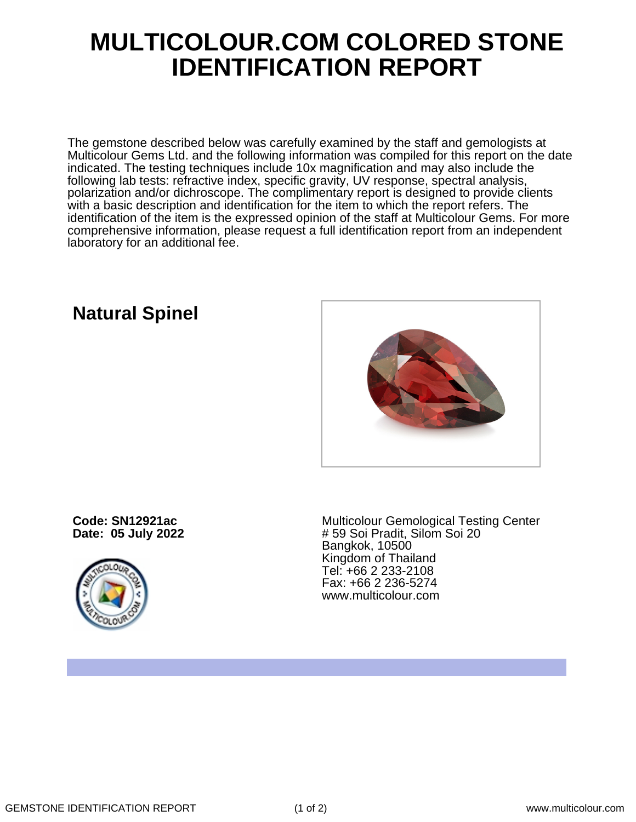## **MULTICOLOUR.COM COLORED STONE IDENTIFICATION REPORT**

The gemstone described below was carefully examined by the staff and gemologists at Multicolour Gems Ltd. and the following information was compiled for this report on the date indicated. The testing techniques include 10x magnification and may also include the following lab tests: refractive index, specific gravity, UV response, spectral analysis, polarization and/or dichroscope. The complimentary report is designed to provide clients with a basic description and identification for the item to which the report refers. The identification of the item is the expressed opinion of the staff at Multicolour Gems. For more comprehensive information, please request a full identification report from an independent laboratory for an additional fee.

## **Natural Spinel**



**Code: SN12921ac Date: 05 July 2022**



Multicolour Gemological Testing Center # 59 Soi Pradit, Silom Soi 20 Bangkok, 10500 Kingdom of Thailand Tel: +66 2 233-2108 Fax: +66 2 236-5274 www.multicolour.com